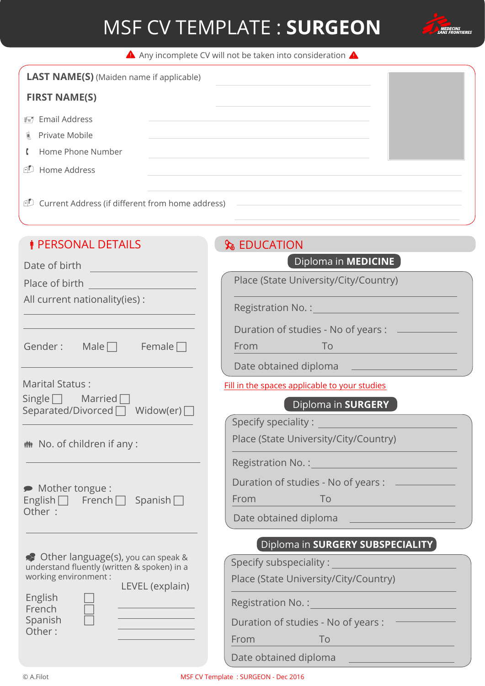

A Any incomplete CV will not be taken into consideration A

| <b>LAST NAME(S)</b> (Maiden name if applicable)                  |  |
|------------------------------------------------------------------|--|
| <b>FIRST NAME(S)</b>                                             |  |
| ≢≡7 Email Address                                                |  |
| 匾<br>Private Mobile                                              |  |
| Home Phone Number<br>$\mathfrak{c}$                              |  |
| Home Address<br>$\cap$                                           |  |
|                                                                  |  |
| <b><i>I</i></b> Current Address (if different from home address) |  |

### *I* PERSONAL DETAILS

### **S** EDUCATION

| Date of birth                                                                        | Diploma in <b>MEDICINE</b>                                                                                                                                                                                                         |
|--------------------------------------------------------------------------------------|------------------------------------------------------------------------------------------------------------------------------------------------------------------------------------------------------------------------------------|
| Place of birth                                                                       | Place (State University/City/Country)                                                                                                                                                                                              |
| All current nationality(ies) :                                                       | <b>Registration No.: Comparison Comparison Comparison Comparison Comparison Comparison Comparison Comparison Comparison</b>                                                                                                        |
|                                                                                      | Duration of studies - No of years :                                                                                                                                                                                                |
| Gender:<br>Male $\Box$<br>Female $\Box$                                              | From<br>To                                                                                                                                                                                                                         |
|                                                                                      | Date obtained diploma                                                                                                                                                                                                              |
| Marital Status:                                                                      | Fill in the spaces applicable to your studies                                                                                                                                                                                      |
| $Single \fbox{ T}$ Married $\fbox{ T}$<br>Separated/Divorced   Widow(er)             | Diploma in SURGERY                                                                                                                                                                                                                 |
|                                                                                      | Specify speciality:                                                                                                                                                                                                                |
| the No. of children if any:                                                          | Place (State University/City/Country)                                                                                                                                                                                              |
|                                                                                      | <b>Registration No.: Contract Contract Contract Contract Contract Contract Contract Contract Contract Contract Contract Contract Contract Contract Contract Contract Contract Contract Contract Contract Contract Contract Con</b> |
| Mother tongue :                                                                      | Duration of studies - No of years :                                                                                                                                                                                                |
| English $\Box$ French $\Box$ Spanish $\Box$                                          | From<br>To                                                                                                                                                                                                                         |
| Other:                                                                               | Date obtained diploma                                                                                                                                                                                                              |
|                                                                                      | Diploma in SURGERY SUBSPECIALITY                                                                                                                                                                                                   |
| So Other language(s), you can speak &<br>understand fluently (written & spoken) in a | Specify subspeciality:                                                                                                                                                                                                             |
| working environment :<br>LEVEL (explain)                                             | Place (State University/City/Country)                                                                                                                                                                                              |
| English<br>French                                                                    | Registration No. : Negistration No. :                                                                                                                                                                                              |
| Spanish                                                                              | Duration of studies - No of years :                                                                                                                                                                                                |
| Other:                                                                               | From<br>To                                                                                                                                                                                                                         |
|                                                                                      |                                                                                                                                                                                                                                    |

Date obtained diploma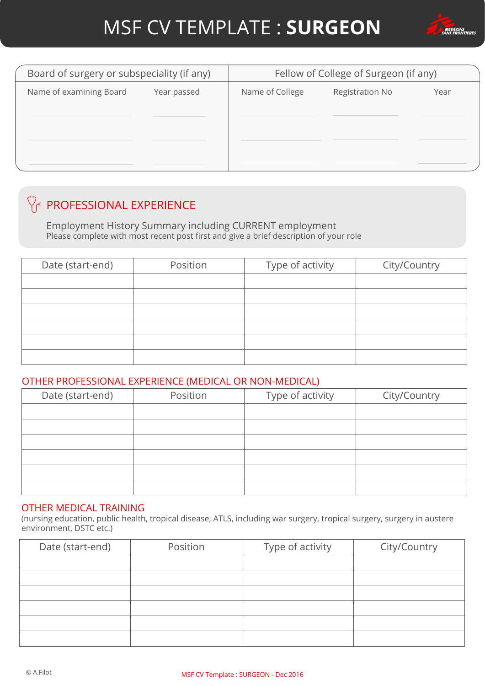

| Board of surgery or subspeciality (if any) |             | Fellow of College of Surgeon (if any)     |  |      |  |
|--------------------------------------------|-------------|-------------------------------------------|--|------|--|
| Name of examining Board                    | Year passed | Name of College<br><b>Registration No</b> |  | Year |  |
|                                            |             |                                           |  |      |  |
|                                            |             |                                           |  |      |  |
|                                            |             |                                           |  |      |  |
|                                            |             |                                           |  |      |  |

### $\bigvee_{\mathcal{C}}$  PROFESSIONAL EXPERIENCE

Employment History Summary including CURRENT employment Please complete with most recent post first and give a brief description of your role

| Date (start-end) | Position | Type of activity | City/Country |
|------------------|----------|------------------|--------------|
|                  |          |                  |              |
|                  |          |                  |              |
|                  |          |                  |              |
|                  |          |                  |              |
|                  |          |                  |              |
|                  |          |                  |              |

#### OTHER PROFESSIONAL EXPERIENCE (MEDICAL OR NON-MEDICAL)

| Date (start-end) | Position | Type of activity | City/Country |
|------------------|----------|------------------|--------------|
|                  |          |                  |              |
|                  |          |                  |              |
|                  |          |                  |              |
|                  |          |                  |              |
|                  |          |                  |              |
|                  |          |                  |              |

#### OTHER MEDICAL TRAINING

(nursing education, public health, tropical disease, ATLS, including war surgery, tropical surgery, surgery in austere environment, DSTC etc.)

| Date (start-end) | Position | Type of activity | City/Country |
|------------------|----------|------------------|--------------|
|                  |          |                  |              |
|                  |          |                  |              |
|                  |          |                  |              |
|                  |          |                  |              |
|                  |          |                  |              |
|                  |          |                  |              |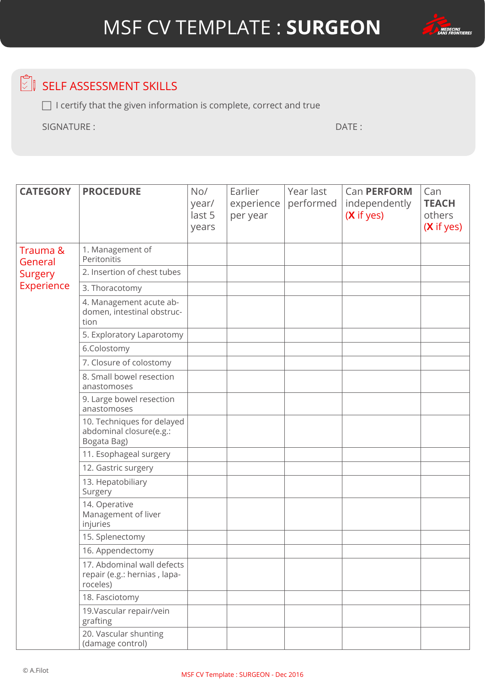



### $\circled{S}$  SELF ASSESSMENT SKILLS

 $\Box$  I certify that the given information is complete, correct and true

SIGNATURE : DATE :

| <b>CATEGORY</b>     | <b>PROCEDURE</b>                                                       | No/<br>year/<br>last 5<br>years | Earlier<br>experience<br>per year | Year last<br>performed | Can PERFORM<br>independently<br>(X if yes) | Can<br><b>TEACH</b><br>others<br>(X if yes) |
|---------------------|------------------------------------------------------------------------|---------------------------------|-----------------------------------|------------------------|--------------------------------------------|---------------------------------------------|
| Trauma &<br>General | 1. Management of<br>Peritonitis                                        |                                 |                                   |                        |                                            |                                             |
| Surgery             | 2. Insertion of chest tubes                                            |                                 |                                   |                        |                                            |                                             |
| Experience          | 3. Thoracotomy                                                         |                                 |                                   |                        |                                            |                                             |
|                     | 4. Management acute ab-<br>domen, intestinal obstruc-<br>tion          |                                 |                                   |                        |                                            |                                             |
|                     | 5. Exploratory Laparotomy                                              |                                 |                                   |                        |                                            |                                             |
|                     | 6.Colostomy                                                            |                                 |                                   |                        |                                            |                                             |
|                     | 7. Closure of colostomy                                                |                                 |                                   |                        |                                            |                                             |
|                     | 8. Small bowel resection<br>anastomoses                                |                                 |                                   |                        |                                            |                                             |
|                     | 9. Large bowel resection<br>anastomoses                                |                                 |                                   |                        |                                            |                                             |
|                     | 10. Techniques for delayed<br>abdominal closure(e.g.:<br>Bogata Bag)   |                                 |                                   |                        |                                            |                                             |
|                     | 11. Esophageal surgery                                                 |                                 |                                   |                        |                                            |                                             |
|                     | 12. Gastric surgery                                                    |                                 |                                   |                        |                                            |                                             |
|                     | 13. Hepatobiliary<br>Surgery                                           |                                 |                                   |                        |                                            |                                             |
|                     | 14. Operative<br>Management of liver<br>injuries                       |                                 |                                   |                        |                                            |                                             |
|                     | 15. Splenectomy                                                        |                                 |                                   |                        |                                            |                                             |
|                     | 16. Appendectomy                                                       |                                 |                                   |                        |                                            |                                             |
|                     | 17. Abdominal wall defects<br>repair (e.g.: hernias, lapa-<br>roceles) |                                 |                                   |                        |                                            |                                             |
|                     | 18. Fasciotomy                                                         |                                 |                                   |                        |                                            |                                             |
|                     | 19. Vascular repair/vein<br>grafting                                   |                                 |                                   |                        |                                            |                                             |
|                     | 20. Vascular shunting<br>(damage control)                              |                                 |                                   |                        |                                            |                                             |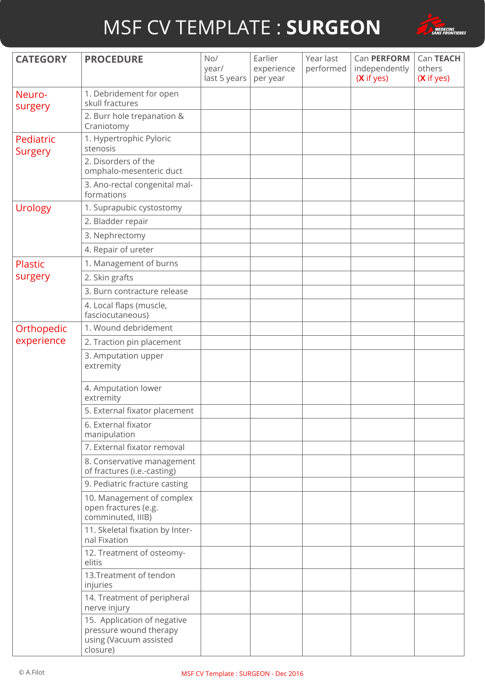

| <b>CATEGORY</b>      | <b>PROCEDURE</b>                                                                            | No/<br>year/<br>last 5 years | Earlier<br>experience<br>per year | Year last<br>performed | Can PERFORM<br>independently<br>(X if yes) | Can TEACH<br>others<br>(X if yes) |
|----------------------|---------------------------------------------------------------------------------------------|------------------------------|-----------------------------------|------------------------|--------------------------------------------|-----------------------------------|
| Neuro-<br>surgery    | 1. Debridement for open<br>skull fractures                                                  |                              |                                   |                        |                                            |                                   |
|                      | 2. Burr hole trepanation &<br>Craniotomy                                                    |                              |                                   |                        |                                            |                                   |
| Pediatric<br>Surgery | 1. Hypertrophic Pyloric<br>stenosis                                                         |                              |                                   |                        |                                            |                                   |
|                      | 2. Disorders of the<br>omphalo-mesenteric duct                                              |                              |                                   |                        |                                            |                                   |
|                      | 3. Ano-rectal congenital mal-<br>formations                                                 |                              |                                   |                        |                                            |                                   |
| <b>Urology</b>       | 1. Suprapubic cystostomy                                                                    |                              |                                   |                        |                                            |                                   |
|                      | 2. Bladder repair                                                                           |                              |                                   |                        |                                            |                                   |
|                      | 3. Nephrectomy                                                                              |                              |                                   |                        |                                            |                                   |
|                      | 4. Repair of ureter                                                                         |                              |                                   |                        |                                            |                                   |
| <b>Plastic</b>       | 1. Management of burns                                                                      |                              |                                   |                        |                                            |                                   |
| surgery              | 2. Skin grafts                                                                              |                              |                                   |                        |                                            |                                   |
|                      | 3. Burn contracture release                                                                 |                              |                                   |                        |                                            |                                   |
|                      | 4. Local flaps (muscle,<br>fasciocutaneous)                                                 |                              |                                   |                        |                                            |                                   |
| Orthopedic           | 1. Wound debridement                                                                        |                              |                                   |                        |                                            |                                   |
| experience           | 2. Traction pin placement                                                                   |                              |                                   |                        |                                            |                                   |
|                      | 3. Amputation upper<br>extremity                                                            |                              |                                   |                        |                                            |                                   |
|                      | 4. Amputation lower<br>extremity                                                            |                              |                                   |                        |                                            |                                   |
|                      | 5. External fixator placement                                                               |                              |                                   |                        |                                            |                                   |
|                      | 6. External fixator<br>manipulation                                                         |                              |                                   |                        |                                            |                                   |
|                      | 7. External fixator removal                                                                 |                              |                                   |                        |                                            |                                   |
|                      | 8. Conservative management<br>of fractures (i.e.-casting)                                   |                              |                                   |                        |                                            |                                   |
|                      | 9. Pediatric fracture casting                                                               |                              |                                   |                        |                                            |                                   |
|                      | 10. Management of complex<br>open fractures (e.g.<br>comminuted, IIIB)                      |                              |                                   |                        |                                            |                                   |
|                      | 11. Skeletal fixation by Inter-<br>nal Fixation                                             |                              |                                   |                        |                                            |                                   |
|                      | 12. Treatment of osteomy-<br>elitis                                                         |                              |                                   |                        |                                            |                                   |
|                      | 13. Treatment of tendon<br>injuries                                                         |                              |                                   |                        |                                            |                                   |
|                      | 14. Treatment of peripheral<br>nerve injury                                                 |                              |                                   |                        |                                            |                                   |
|                      | 15. Application of negative<br>pressure wound therapy<br>using (Vacuum assisted<br>closure) |                              |                                   |                        |                                            |                                   |